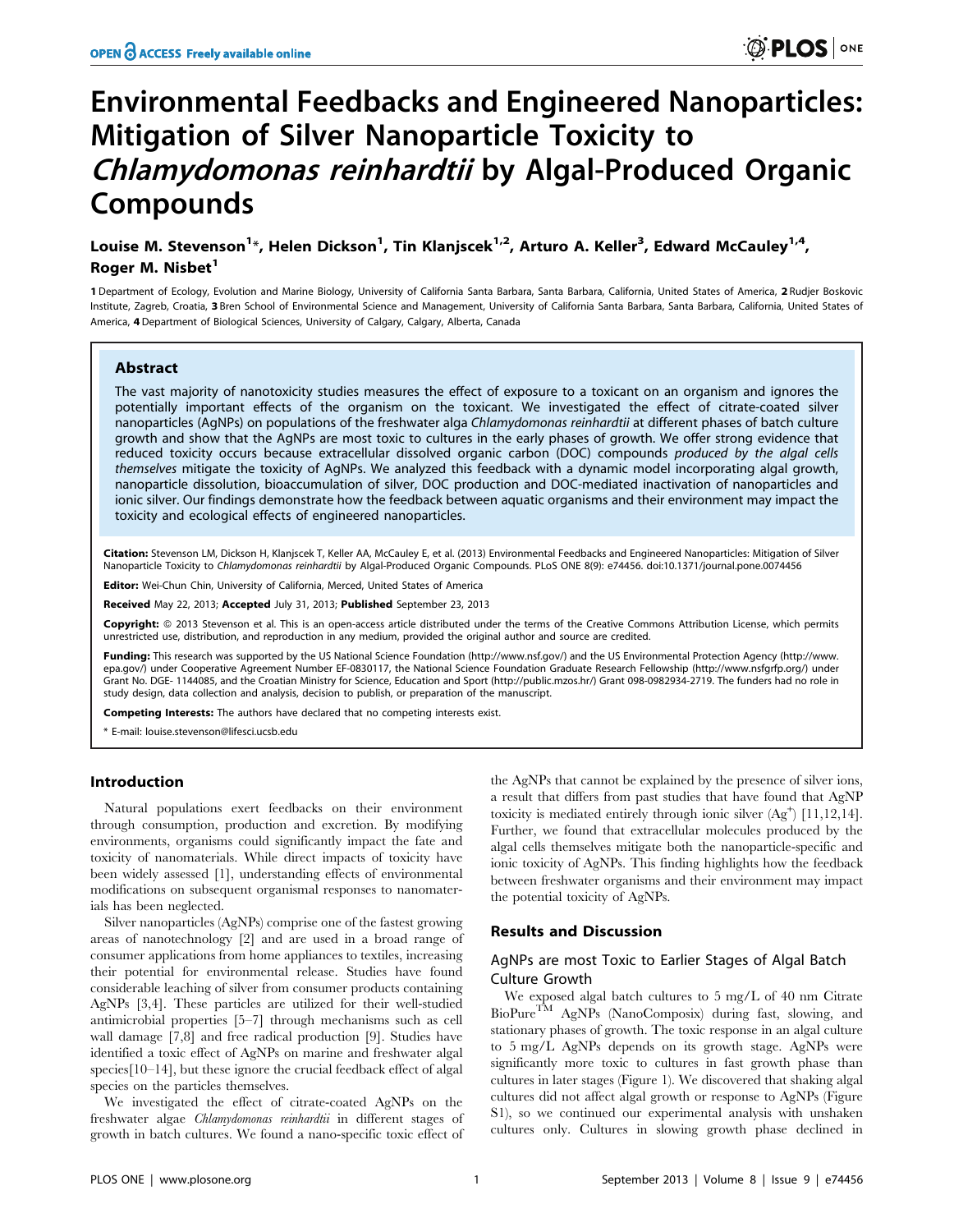# Environmental Feedbacks and Engineered Nanoparticles: Mitigation of Silver Nanoparticle Toxicity to Chlamydomonas reinhardtii by Algal-Produced Organic Compounds

Louise M. Stevenson<sup>1</sup>\*, Helen Dickson<sup>1</sup>, Tin Klanjscek<sup>1,2</sup>, Arturo A. Keller<sup>3</sup>, Edward McCauley<sup>1,4</sup>, Roger M. Nisbet<sup>1</sup>

1 Department of Ecology, Evolution and Marine Biology, University of California Santa Barbara, Santa Barbara, California, United States of America, 2 Rudjer Boskovic Institute, Zagreb, Croatia, 3 Bren School of Environmental Science and Management, University of California Santa Barbara, Santa Barbara, California, United States of America, 4 Department of Biological Sciences, University of Calgary, Calgary, Alberta, Canada

#### Abstract

The vast majority of nanotoxicity studies measures the effect of exposure to a toxicant on an organism and ignores the potentially important effects of the organism on the toxicant. We investigated the effect of citrate-coated silver nanoparticles (AgNPs) on populations of the freshwater alga Chlamydomonas reinhardtii at different phases of batch culture growth and show that the AgNPs are most toxic to cultures in the early phases of growth. We offer strong evidence that reduced toxicity occurs because extracellular dissolved organic carbon (DOC) compounds produced by the algal cells themselves mitigate the toxicity of AgNPs. We analyzed this feedback with a dynamic model incorporating algal growth, nanoparticle dissolution, bioaccumulation of silver, DOC production and DOC-mediated inactivation of nanoparticles and ionic silver. Our findings demonstrate how the feedback between aquatic organisms and their environment may impact the toxicity and ecological effects of engineered nanoparticles.

Citation: Stevenson LM, Dickson H, Klanjscek T, Keller AA, McCauley E, et al. (2013) Environmental Feedbacks and Engineered Nanoparticles: Mitigation of Silver Nanoparticle Toxicity to Chlamydomonas reinhardtii by Algal-Produced Organic Compounds. PLoS ONE 8(9): e74456. doi:10.1371/journal.pone.0074456

Editor: Wei-Chun Chin, University of California, Merced, United States of America

Received May 22, 2013; Accepted July 31, 2013; Published September 23, 2013

Copyright: © 2013 Stevenson et al. This is an open-access article distributed under the terms of the Creative Commons Attribution License, which permits unrestricted use, distribution, and reproduction in any medium, provided the original author and source are credited.

Funding: This research was supported by the US National Science Foundation (http://www.nsf.gov/) and the US Environmental Protection Agency (http://www. epa.gov/) under Cooperative Agreement Number EF-0830117, the National Science Foundation Graduate Research Fellowship (http://www.nsfgrfp.org/) under Grant No. DGE- 1144085, and the Croatian Ministry for Science, Education and Sport (http://public.mzos.hr/) Grant 098-0982934-2719. The funders had no role in study design, data collection and analysis, decision to publish, or preparation of the manuscript.

Competing Interests: The authors have declared that no competing interests exist.

\* E-mail: louise.stevenson@lifesci.ucsb.edu

## Introduction

Natural populations exert feedbacks on their environment through consumption, production and excretion. By modifying environments, organisms could significantly impact the fate and toxicity of nanomaterials. While direct impacts of toxicity have been widely assessed [1], understanding effects of environmental modifications on subsequent organismal responses to nanomaterials has been neglected.

Silver nanoparticles (AgNPs) comprise one of the fastest growing areas of nanotechnology [2] and are used in a broad range of consumer applications from home appliances to textiles, increasing their potential for environmental release. Studies have found considerable leaching of silver from consumer products containing AgNPs [3,4]. These particles are utilized for their well-studied antimicrobial properties [5–7] through mechanisms such as cell wall damage [7,8] and free radical production [9]. Studies have identified a toxic effect of AgNPs on marine and freshwater algal species[10–14], but these ignore the crucial feedback effect of algal species on the particles themselves.

We investigated the effect of citrate-coated AgNPs on the freshwater algae Chlamydomonas reinhardtii in different stages of growth in batch cultures. We found a nano-specific toxic effect of the AgNPs that cannot be explained by the presence of silver ions, a result that differs from past studies that have found that AgNP toxicity is mediated entirely through ionic silver  $(Ag^+)$  [11,12,14]. Further, we found that extracellular molecules produced by the algal cells themselves mitigate both the nanoparticle-specific and ionic toxicity of AgNPs. This finding highlights how the feedback between freshwater organisms and their environment may impact the potential toxicity of AgNPs.

#### Results and Discussion

# AgNPs are most Toxic to Earlier Stages of Algal Batch Culture Growth

We exposed algal batch cultures to 5 mg/L of 40 nm Citrate BioPureTM AgNPs (NanoComposix) during fast, slowing, and stationary phases of growth. The toxic response in an algal culture to 5 mg/L AgNPs depends on its growth stage. AgNPs were significantly more toxic to cultures in fast growth phase than cultures in later stages (Figure 1). We discovered that shaking algal cultures did not affect algal growth or response to AgNPs (Figure S1), so we continued our experimental analysis with unshaken cultures only. Cultures in slowing growth phase declined in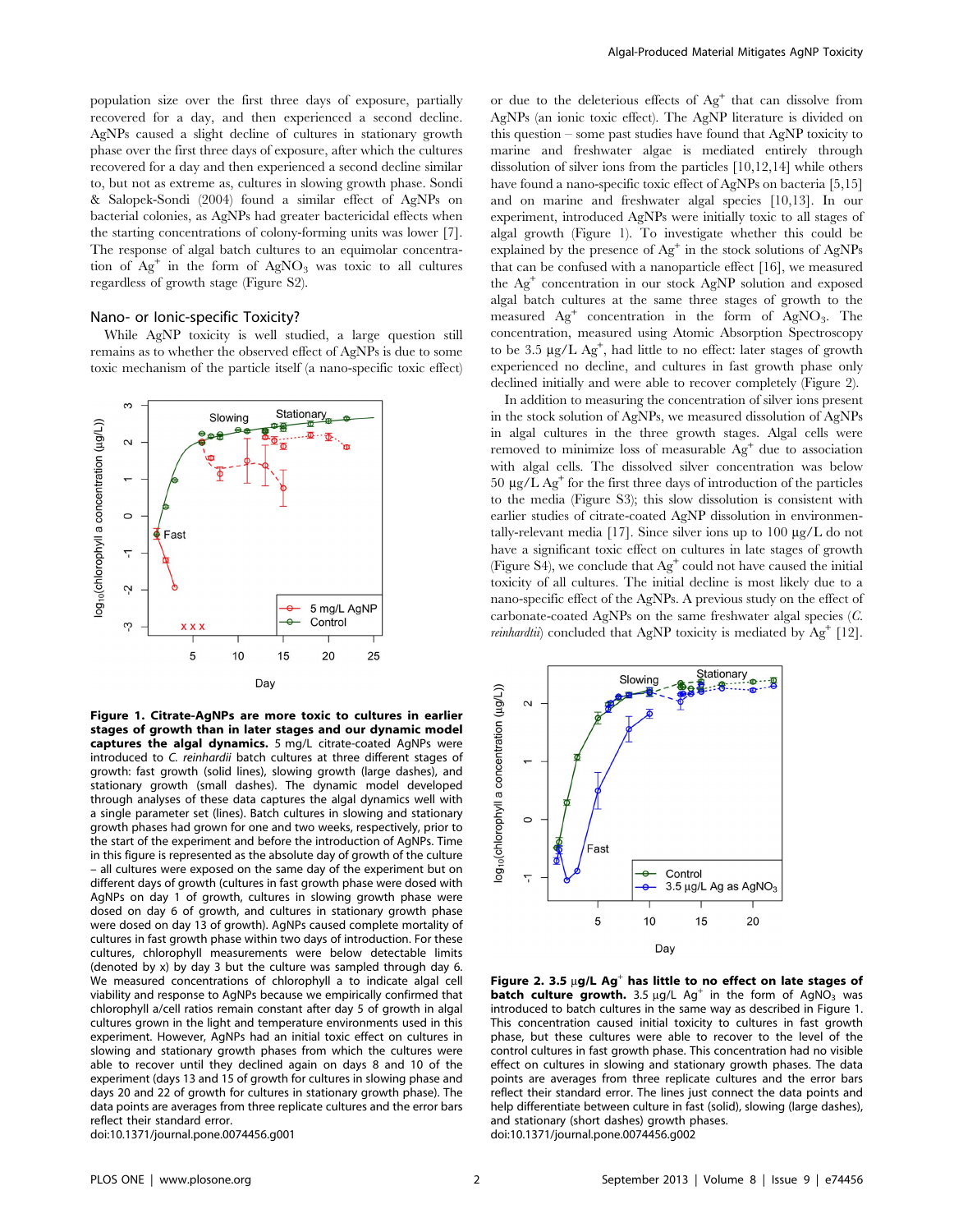population size over the first three days of exposure, partially recovered for a day, and then experienced a second decline. AgNPs caused a slight decline of cultures in stationary growth phase over the first three days of exposure, after which the cultures recovered for a day and then experienced a second decline similar to, but not as extreme as, cultures in slowing growth phase. Sondi & Salopek-Sondi (2004) found a similar effect of AgNPs on bacterial colonies, as AgNPs had greater bactericidal effects when the starting concentrations of colony-forming units was lower [7]. The response of algal batch cultures to an equimolar concentration of  $Ag^+$  in the form of  $AgNO_3$  was toxic to all cultures regardless of growth stage (Figure S2).

# Nano- or Ionic-specific Toxicity?

While AgNP toxicity is well studied, a large question still remains as to whether the observed effect of AgNPs is due to some toxic mechanism of the particle itself (a nano-specific toxic effect)



Figure 1. Citrate-AgNPs are more toxic to cultures in earlier stages of growth than in later stages and our dynamic model captures the algal dynamics. 5 mg/L citrate-coated AgNPs were introduced to C. reinhardii batch cultures at three different stages of growth: fast growth (solid lines), slowing growth (large dashes), and stationary growth (small dashes). The dynamic model developed through analyses of these data captures the algal dynamics well with a single parameter set (lines). Batch cultures in slowing and stationary growth phases had grown for one and two weeks, respectively, prior to the start of the experiment and before the introduction of AgNPs. Time in this figure is represented as the absolute day of growth of the culture – all cultures were exposed on the same day of the experiment but on different days of growth (cultures in fast growth phase were dosed with AgNPs on day 1 of growth, cultures in slowing growth phase were dosed on day 6 of growth, and cultures in stationary growth phase were dosed on day 13 of growth). AgNPs caused complete mortality of cultures in fast growth phase within two days of introduction. For these cultures, chlorophyll measurements were below detectable limits (denoted by x) by day 3 but the culture was sampled through day 6. We measured concentrations of chlorophyll a to indicate algal cell viability and response to AgNPs because we empirically confirmed that chlorophyll a/cell ratios remain constant after day 5 of growth in algal cultures grown in the light and temperature environments used in this experiment. However, AgNPs had an initial toxic effect on cultures in slowing and stationary growth phases from which the cultures were able to recover until they declined again on days 8 and 10 of the experiment (days 13 and 15 of growth for cultures in slowing phase and days 20 and 22 of growth for cultures in stationary growth phase). The data points are averages from three replicate cultures and the error bars reflect their standard error. doi:10.1371/journal.pone.0074456.g001

or due to the deleterious effects of Ag<sup>+</sup> that can dissolve from AgNPs (an ionic toxic effect). The AgNP literature is divided on this question – some past studies have found that AgNP toxicity to marine and freshwater algae is mediated entirely through dissolution of silver ions from the particles [10,12,14] while others have found a nano-specific toxic effect of AgNPs on bacteria [5,15] and on marine and freshwater algal species [10,13]. In our experiment, introduced AgNPs were initially toxic to all stages of algal growth (Figure 1). To investigate whether this could be explained by the presence of  $Ag^+$  in the stock solutions of  $AgNPs$ that can be confused with a nanoparticle effect [16], we measured the  $Ag<sup>+</sup>$  concentration in our stock AgNP solution and exposed algal batch cultures at the same three stages of growth to the measured  $Ag<sup>+</sup>$  concentration in the form of AgNO<sub>3</sub>. The concentration, measured using Atomic Absorption Spectroscopy to be 3.5  $\mu$ g/L Ag<sup>+</sup>, had little to no effect: later stages of growth experienced no decline, and cultures in fast growth phase only declined initially and were able to recover completely (Figure 2).

In addition to measuring the concentration of silver ions present in the stock solution of AgNPs, we measured dissolution of AgNPs in algal cultures in the three growth stages. Algal cells were removed to minimize loss of measurable Ag<sup>+</sup> due to association with algal cells. The dissolved silver concentration was below 50  $\mu$ g/L Ag<sup>+</sup> for the first three days of introduction of the particles to the media (Figure S3); this slow dissolution is consistent with earlier studies of citrate-coated AgNP dissolution in environmentally-relevant media [17]. Since silver ions up to  $100 \mu g/L$  do not have a significant toxic effect on cultures in late stages of growth (Figure S4), we conclude that  $Ag<sup>+</sup>$  could not have caused the initial toxicity of all cultures. The initial decline is most likely due to a nano-specific effect of the AgNPs. A previous study on the effect of carbonate-coated AgNPs on the same freshwater algal species (C. *reinhardtii*) concluded that AgNP toxicity is mediated by  $Ag^+$  [12].



Figure 2. 3.5  $\mu$ g/L Ag<sup>+</sup> has little to no effect on late stages of **batch culture growth.** 3.5  $\mu$ g/L Ag<sup>+</sup> in the form of AgNO<sub>3</sub> was introduced to batch cultures in the same way as described in Figure 1. This concentration caused initial toxicity to cultures in fast growth phase, but these cultures were able to recover to the level of the control cultures in fast growth phase. This concentration had no visible effect on cultures in slowing and stationary growth phases. The data points are averages from three replicate cultures and the error bars reflect their standard error. The lines just connect the data points and help differentiate between culture in fast (solid), slowing (large dashes), and stationary (short dashes) growth phases. doi:10.1371/journal.pone.0074456.g002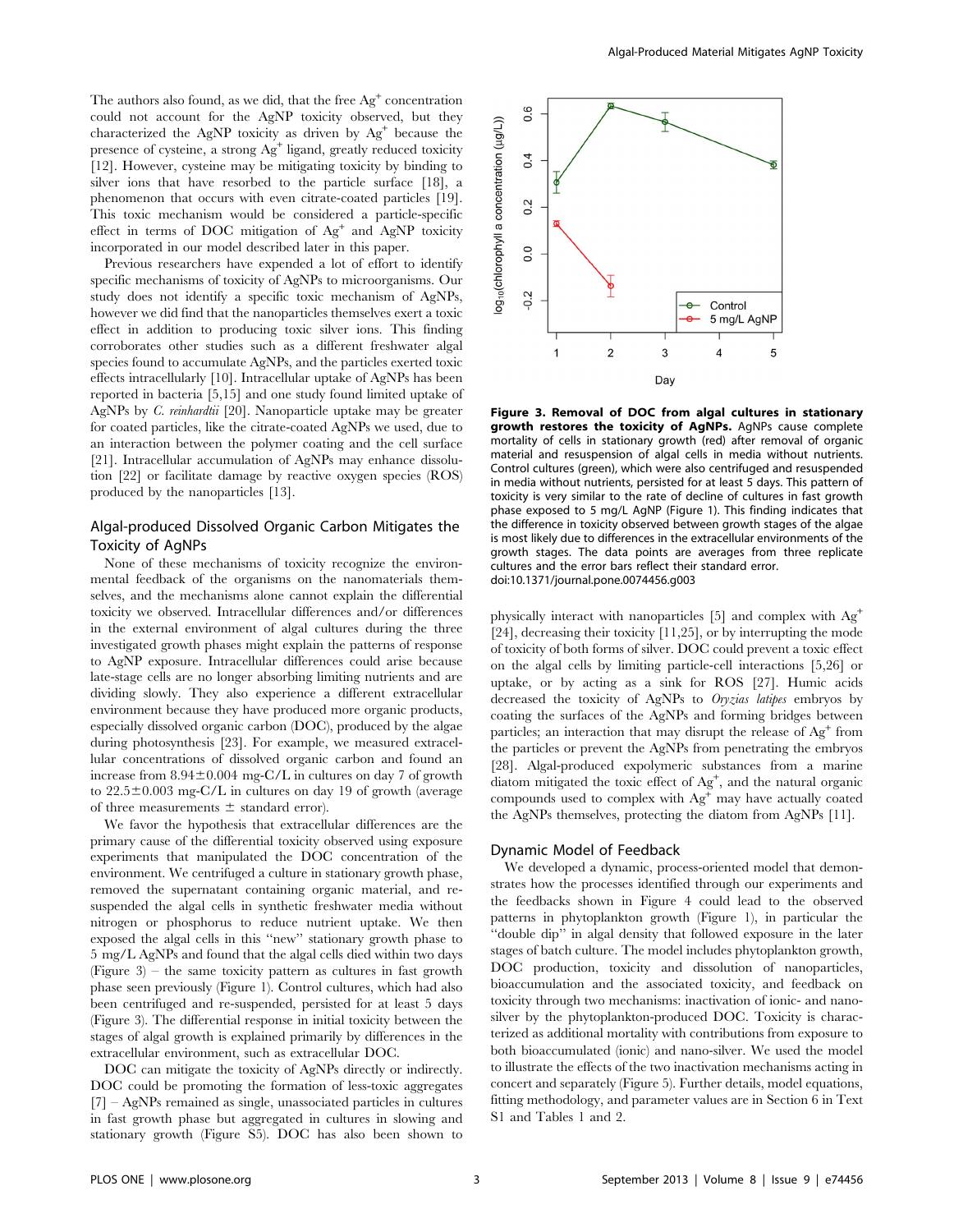The authors also found, as we did, that the free  $Ag<sup>+</sup>$  concentration could not account for the AgNP toxicity observed, but they characterized the AgNP toxicity as driven by  $Ag<sup>+</sup>$  because the presence of cysteine, a strong Ag<sup>+</sup> ligand, greatly reduced toxicity [12]. However, cysteine may be mitigating toxicity by binding to silver ions that have resorbed to the particle surface [18], a phenomenon that occurs with even citrate-coated particles [19]. This toxic mechanism would be considered a particle-specific effect in terms of DOC mitigation of  $Ag<sup>+</sup>$  and AgNP toxicity incorporated in our model described later in this paper.

Previous researchers have expended a lot of effort to identify specific mechanisms of toxicity of AgNPs to microorganisms. Our study does not identify a specific toxic mechanism of AgNPs, however we did find that the nanoparticles themselves exert a toxic effect in addition to producing toxic silver ions. This finding corroborates other studies such as a different freshwater algal species found to accumulate AgNPs, and the particles exerted toxic effects intracellularly [10]. Intracellular uptake of AgNPs has been reported in bacteria [5,15] and one study found limited uptake of AgNPs by C. reinhardtii [20]. Nanoparticle uptake may be greater for coated particles, like the citrate-coated AgNPs we used, due to an interaction between the polymer coating and the cell surface [21]. Intracellular accumulation of AgNPs may enhance dissolution [22] or facilitate damage by reactive oxygen species (ROS) produced by the nanoparticles [13].

# Algal-produced Dissolved Organic Carbon Mitigates the Toxicity of AgNPs

None of these mechanisms of toxicity recognize the environmental feedback of the organisms on the nanomaterials themselves, and the mechanisms alone cannot explain the differential toxicity we observed. Intracellular differences and/or differences in the external environment of algal cultures during the three investigated growth phases might explain the patterns of response to AgNP exposure. Intracellular differences could arise because late-stage cells are no longer absorbing limiting nutrients and are dividing slowly. They also experience a different extracellular environment because they have produced more organic products, especially dissolved organic carbon (DOC), produced by the algae during photosynthesis [23]. For example, we measured extracellular concentrations of dissolved organic carbon and found an increase from  $8.94\pm0.004$  mg-C/L in cultures on day 7 of growth to  $22.5\pm0.003$  mg-C/L in cultures on day 19 of growth (average of three measurements  $\pm$  standard error).

We favor the hypothesis that extracellular differences are the primary cause of the differential toxicity observed using exposure experiments that manipulated the DOC concentration of the environment. We centrifuged a culture in stationary growth phase, removed the supernatant containing organic material, and resuspended the algal cells in synthetic freshwater media without nitrogen or phosphorus to reduce nutrient uptake. We then exposed the algal cells in this ''new'' stationary growth phase to 5 mg/L AgNPs and found that the algal cells died within two days (Figure 3) – the same toxicity pattern as cultures in fast growth phase seen previously (Figure 1). Control cultures, which had also been centrifuged and re-suspended, persisted for at least 5 days (Figure 3). The differential response in initial toxicity between the stages of algal growth is explained primarily by differences in the extracellular environment, such as extracellular DOC.

DOC can mitigate the toxicity of AgNPs directly or indirectly. DOC could be promoting the formation of less-toxic aggregates [7] – AgNPs remained as single, unassociated particles in cultures in fast growth phase but aggregated in cultures in slowing and stationary growth (Figure S5). DOC has also been shown to



Figure 3. Removal of DOC from algal cultures in stationary growth restores the toxicity of AgNPs. AgNPs cause complete mortality of cells in stationary growth (red) after removal of organic material and resuspension of algal cells in media without nutrients. Control cultures (green), which were also centrifuged and resuspended in media without nutrients, persisted for at least 5 days. This pattern of toxicity is very similar to the rate of decline of cultures in fast growth phase exposed to 5 mg/L AgNP (Figure 1). This finding indicates that the difference in toxicity observed between growth stages of the algae is most likely due to differences in the extracellular environments of the growth stages. The data points are averages from three replicate cultures and the error bars reflect their standard error. doi:10.1371/journal.pone.0074456.g003

physically interact with nanoparticles [5] and complex with Ag<sup>+</sup> [24], decreasing their toxicity [11,25], or by interrupting the mode of toxicity of both forms of silver. DOC could prevent a toxic effect on the algal cells by limiting particle-cell interactions [5,26] or uptake, or by acting as a sink for ROS [27]. Humic acids decreased the toxicity of AgNPs to Oryzias latipes embryos by coating the surfaces of the AgNPs and forming bridges between particles; an interaction that may disrupt the release of  $\text{Ag}^+$  from the particles or prevent the AgNPs from penetrating the embryos [28]. Algal-produced expolymeric substances from a marine diatom mitigated the toxic effect of  $Ag^+$ , and the natural organic compounds used to complex with  $\text{Ag}^+$  may have actually coated the AgNPs themselves, protecting the diatom from AgNPs [11].

# Dynamic Model of Feedback

We developed a dynamic, process-oriented model that demonstrates how the processes identified through our experiments and the feedbacks shown in Figure 4 could lead to the observed patterns in phytoplankton growth (Figure 1), in particular the ''double dip'' in algal density that followed exposure in the later stages of batch culture. The model includes phytoplankton growth, DOC production, toxicity and dissolution of nanoparticles, bioaccumulation and the associated toxicity, and feedback on toxicity through two mechanisms: inactivation of ionic- and nanosilver by the phytoplankton-produced DOC. Toxicity is characterized as additional mortality with contributions from exposure to both bioaccumulated (ionic) and nano-silver. We used the model to illustrate the effects of the two inactivation mechanisms acting in concert and separately (Figure 5). Further details, model equations, fitting methodology, and parameter values are in Section 6 in Text S1 and Tables 1 and 2.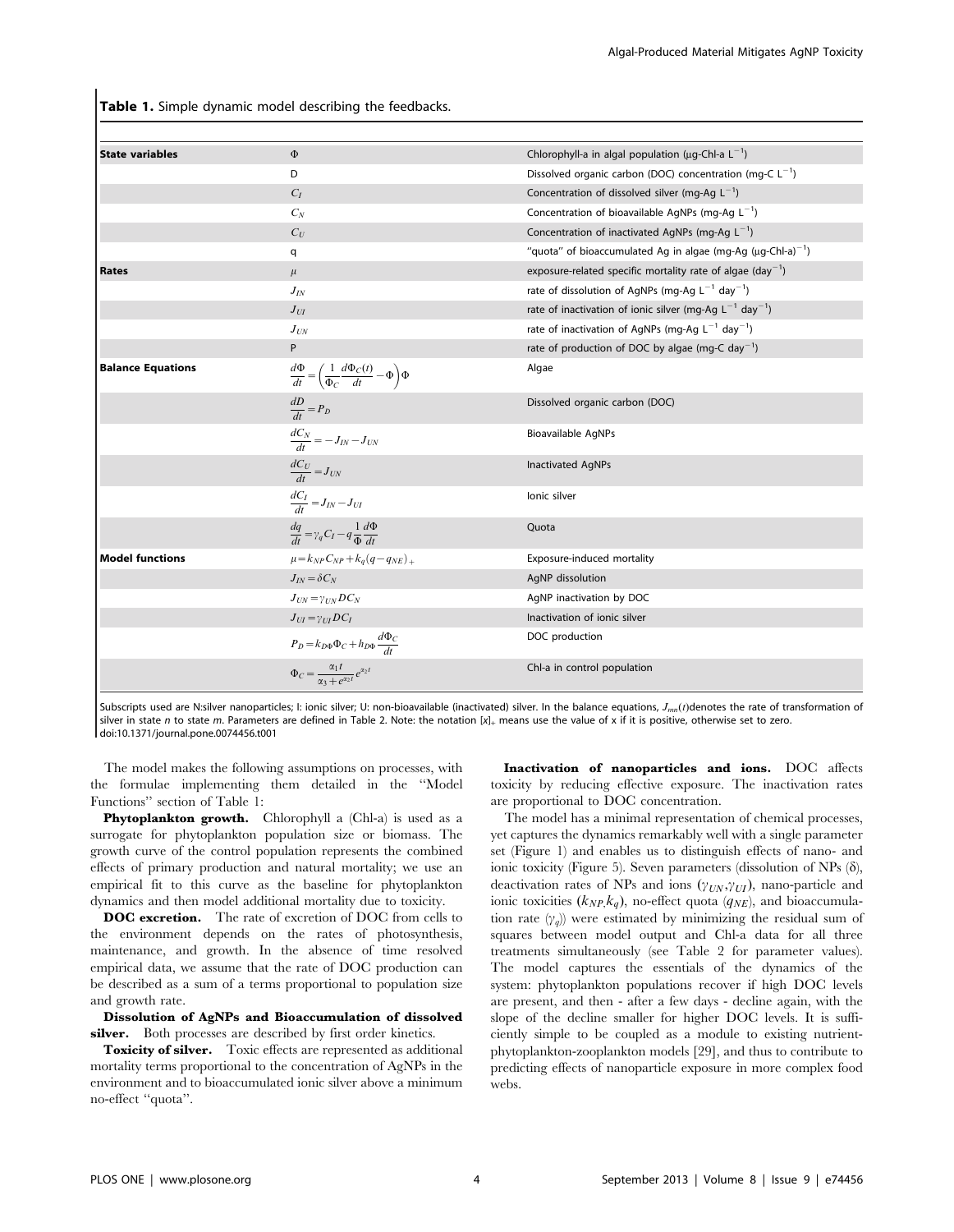Table 1. Simple dynamic model describing the feedbacks.

| <b>State variables</b>   | $\Phi$                                                                             | Chlorophyll-a in algal population ( $\mu$ g-Chl-a L <sup>-1</sup> )           |
|--------------------------|------------------------------------------------------------------------------------|-------------------------------------------------------------------------------|
|                          | D                                                                                  | Dissolved organic carbon (DOC) concentration (mg-C $L^{-1}$ )                 |
|                          | $C_I$                                                                              | Concentration of dissolved silver (mg-Ag $L^{-1}$ )                           |
|                          | $C_N$                                                                              | Concentration of bioavailable AgNPs (mg-Ag $L^{-1}$ )                         |
|                          | $C_U$                                                                              | Concentration of inactivated AgNPs (mg-Ag $L^{-1}$ )                          |
|                          | q                                                                                  | "quota" of bioaccumulated Ag in algae (mg-Ag ( $\mu$ g-Chl-a) <sup>-1</sup> ) |
| <b>Rates</b>             | $\mu$                                                                              | exposure-related specific mortality rate of algae (day <sup>-1</sup> )        |
|                          | $J_{I\!N}$                                                                         | rate of dissolution of AgNPs (mg-Ag $L^{-1}$ day <sup>-1</sup> )              |
|                          | $J_{UI}$                                                                           | rate of inactivation of ionic silver (mg-Ag $L^{-1}$ day <sup>-1</sup> )      |
|                          | $J_{UN}$                                                                           | rate of inactivation of AgNPs (mg-Ag $L^{-1}$ day <sup>-1</sup> )             |
|                          | P                                                                                  | rate of production of DOC by algae (mg-C day <sup>-1</sup> )                  |
| <b>Balance Equations</b> | $\frac{d\Phi}{dt} = \left(\frac{1}{\Phi_C}\frac{d\Phi_C(t)}{dt} - \Phi\right)\Phi$ | Algae                                                                         |
|                          | $\frac{dD}{dt} = P_D$                                                              | Dissolved organic carbon (DOC)                                                |
|                          | $\frac{dC_N}{dt} = -J_{IN} - J_{UN}$                                               | Bioavailable AgNPs                                                            |
|                          | $\frac{dC_U}{dt} = J_{UN}$                                                         | Inactivated AgNPs                                                             |
|                          | $\frac{dC_I}{dt} = J_{IN} - J_{UI}$                                                | lonic silver                                                                  |
|                          | $\frac{dq}{dt} = \gamma_q C_I - q \frac{1}{\Phi} \frac{d\Phi}{dt}$                 | Quota                                                                         |
| <b>Model functions</b>   | $\mu = k_{NP} C_{NP} + k_a (q - q_{NE})_{+}$                                       | Exposure-induced mortality                                                    |
|                          | $J_{IV} = \delta C_N$                                                              | AgNP dissolution                                                              |
|                          | $J_{UN} = \gamma_{IN} DC_N$                                                        | AgNP inactivation by DOC                                                      |
|                          | $J_{UI} = \gamma_{III} DC_I$                                                       | Inactivation of ionic silver                                                  |
|                          | $P_D = k_{D\Phi} \Phi_C + h_{D\Phi} \frac{d\Phi_C}{dt}$                            | DOC production                                                                |
|                          | $\Phi_C = \frac{\alpha_1 t}{\alpha_3 + e^{\alpha_2 t}} e^{\alpha_2 t}$             | Chl-a in control population                                                   |

Subscripts used are N:silver nanoparticles; I: ionic silver; U: non-bioavailable (inactivated) silver. In the balance equations,  $J_{mn}(t)$  denotes the rate of transformation of silver in state n to state m. Parameters are defined in Table 2. Note: the notation  $[x]_+$  means use the value of x if it is positive, otherwise set to zero. doi:10.1371/journal.pone.0074456.t001

The model makes the following assumptions on processes, with the formulae implementing them detailed in the ''Model Functions'' section of Table 1:

Phytoplankton growth. Chlorophyll a (Chl-a) is used as a surrogate for phytoplankton population size or biomass. The growth curve of the control population represents the combined effects of primary production and natural mortality; we use an empirical fit to this curve as the baseline for phytoplankton dynamics and then model additional mortality due to toxicity.

DOC excretion. The rate of excretion of DOC from cells to the environment depends on the rates of photosynthesis, maintenance, and growth. In the absence of time resolved empirical data, we assume that the rate of DOC production can be described as a sum of a terms proportional to population size and growth rate.

Dissolution of AgNPs and Bioaccumulation of dissolved silver. Both processes are described by first order kinetics.

Toxicity of silver. Toxic effects are represented as additional mortality terms proportional to the concentration of AgNPs in the environment and to bioaccumulated ionic silver above a minimum no-effect ''quota''.

Inactivation of nanoparticles and ions. DOC affects toxicity by reducing effective exposure. The inactivation rates are proportional to DOC concentration.

The model has a minimal representation of chemical processes, yet captures the dynamics remarkably well with a single parameter set (Figure 1) and enables us to distinguish effects of nano- and ionic toxicity (Figure 5). Seven parameters (dissolution of NPs  $(\delta)$ , deactivation rates of NPs and ions  $(\gamma_{UN}, \gamma_{UI})$ , nano-particle and ionic toxicities  $(k_{NP}, k_q)$ , no-effect quota  $(q_{NE})$ , and bioaccumulation rate  $(\gamma_q)$  were estimated by minimizing the residual sum of squares between model output and Chl-a data for all three treatments simultaneously (see Table 2 for parameter values). The model captures the essentials of the dynamics of the system: phytoplankton populations recover if high DOC levels are present, and then - after a few days - decline again, with the slope of the decline smaller for higher DOC levels. It is sufficiently simple to be coupled as a module to existing nutrientphytoplankton-zooplankton models [29], and thus to contribute to predicting effects of nanoparticle exposure in more complex food webs.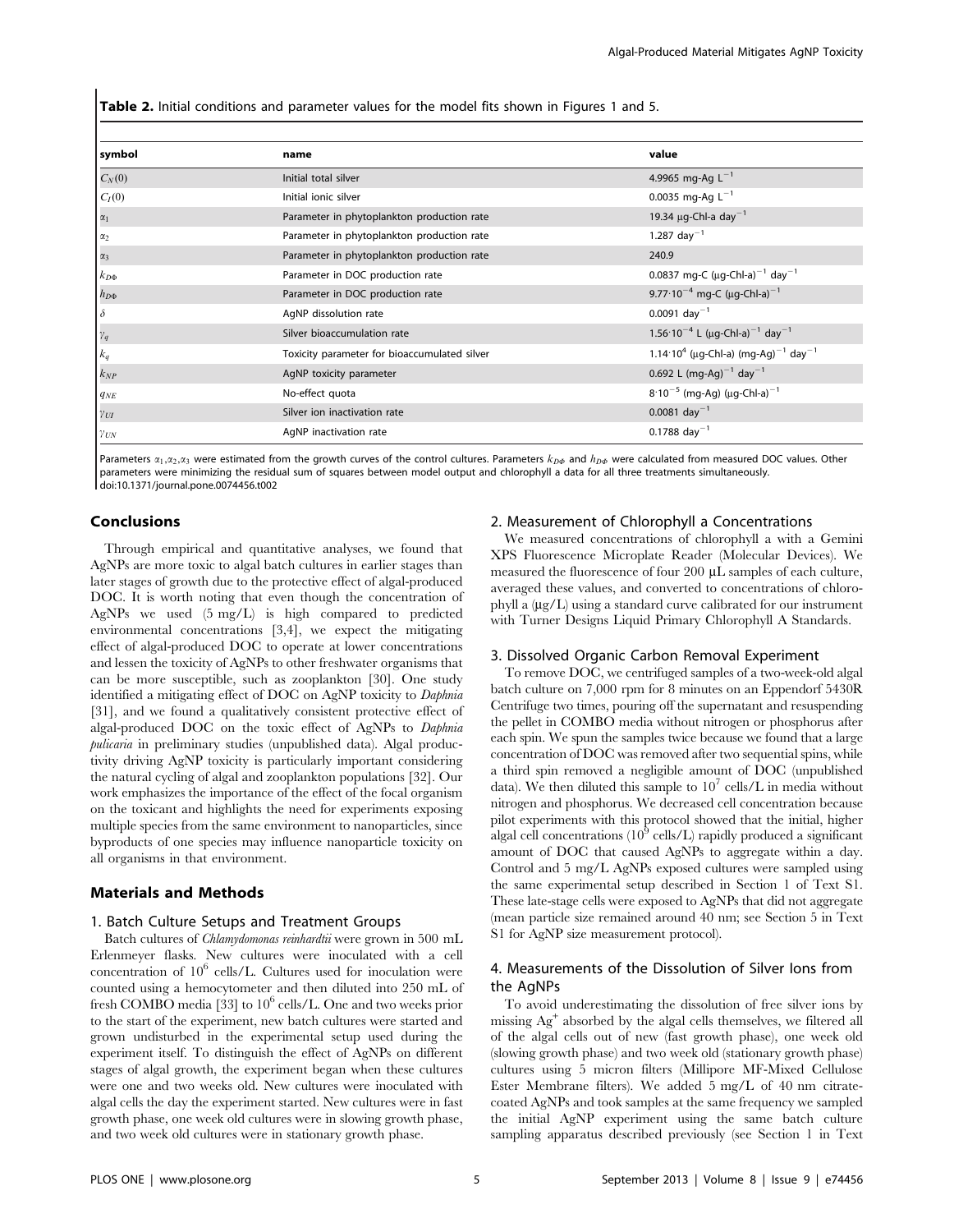Table 2. Initial conditions and parameter values for the model fits shown in Figures 1 and 5.

| symbol               | name                                         | value                                                                      |
|----------------------|----------------------------------------------|----------------------------------------------------------------------------|
| $C_N(0)$             | Initial total silver                         | 4.9965 mg-Ag $L^{-1}$                                                      |
| $C_I(0)$             | Initial ionic silver                         | 0.0035 mg-Ag $L^{-1}$                                                      |
| $\alpha_1$           | Parameter in phytoplankton production rate   | 19.34 $\mu$ g-Chl-a day <sup>-1</sup>                                      |
| $\alpha_2$           | Parameter in phytoplankton production rate   | 1.287 day <sup>-1</sup>                                                    |
| $\alpha_3$           | Parameter in phytoplankton production rate   | 240.9                                                                      |
| $k_{D\Phi}$          | Parameter in DOC production rate             | 0.0837 mg-C ( $\mu$ g-Chl-a) <sup>-1</sup> day <sup>-1</sup>               |
| $h_{D\Phi}$          | Parameter in DOC production rate             | 9.77 $\cdot$ 10 <sup>-4</sup> mg-C (µg-Chl-a) <sup>-1</sup>                |
| $\delta$             | AgNP dissolution rate                        | $0.0091$ day <sup>-1</sup>                                                 |
| $\gamma_q$           | Silver bioaccumulation rate                  | 1.56 $\cdot$ 10 <sup>-4</sup> L (µg-Chl-a) <sup>-1</sup> day <sup>-1</sup> |
| $k_{\boldsymbol{q}}$ | Toxicity parameter for bioaccumulated silver | 1.14 10 <sup>4</sup> (µg-Chl-a) (mg-Ag) <sup>-1</sup> day <sup>-1</sup>    |
| $k_{NP}$             | AgNP toxicity parameter                      | 0.692 L (mg-Ag) <sup>-1</sup> day <sup>-1</sup>                            |
| $q_{NE}$             | No-effect quota                              | $8.10^{-5}$ (mg-Ag) (µg-Chl-a) <sup>-1</sup>                               |
| $\gamma_{UI}$        | Silver ion inactivation rate                 | $0.0081$ day <sup>-1</sup>                                                 |
| $\gamma_{\text{UN}}$ | AgNP inactivation rate                       | $0.1788$ day <sup>-1</sup>                                                 |

Parameters  $x_1, x_2, x_3$  were estimated from the growth curves of the control cultures. Parameters  $k_{D\phi}$  and  $h_{D\phi}$  were calculated from measured DOC values. Other parameters were minimizing the residual sum of squares between model output and chlorophyll a data for all three treatments simultaneously. doi:10.1371/journal.pone.0074456.t002

# Conclusions

Through empirical and quantitative analyses, we found that AgNPs are more toxic to algal batch cultures in earlier stages than later stages of growth due to the protective effect of algal-produced DOC. It is worth noting that even though the concentration of AgNPs we used (5 mg/L) is high compared to predicted environmental concentrations [3,4], we expect the mitigating effect of algal-produced DOC to operate at lower concentrations and lessen the toxicity of AgNPs to other freshwater organisms that can be more susceptible, such as zooplankton [30]. One study identified a mitigating effect of DOC on AgNP toxicity to Daphnia [31], and we found a qualitatively consistent protective effect of algal-produced DOC on the toxic effect of AgNPs to Daphnia pulicaria in preliminary studies (unpublished data). Algal productivity driving AgNP toxicity is particularly important considering the natural cycling of algal and zooplankton populations [32]. Our work emphasizes the importance of the effect of the focal organism on the toxicant and highlights the need for experiments exposing multiple species from the same environment to nanoparticles, since byproducts of one species may influence nanoparticle toxicity on all organisms in that environment.

### Materials and Methods

# 1. Batch Culture Setups and Treatment Groups

Batch cultures of Chlamydomonas reinhardtii were grown in 500 mL Erlenmeyer flasks. New cultures were inoculated with a cell concentration of  $10^6$  cells/L. Cultures used for inoculation were counted using a hemocytometer and then diluted into 250 mL of fresh COMBO media [33] to  $10^{\circ}$  cells/L. One and two weeks prior to the start of the experiment, new batch cultures were started and grown undisturbed in the experimental setup used during the experiment itself. To distinguish the effect of AgNPs on different stages of algal growth, the experiment began when these cultures were one and two weeks old. New cultures were inoculated with algal cells the day the experiment started. New cultures were in fast growth phase, one week old cultures were in slowing growth phase, and two week old cultures were in stationary growth phase.

#### 2. Measurement of Chlorophyll a Concentrations

We measured concentrations of chlorophyll a with a Gemini XPS Fluorescence Microplate Reader (Molecular Devices). We measured the fluorescence of four 200  $\mu$ L samples of each culture, averaged these values, and converted to concentrations of chlorophyll a  $(\mu g/L)$  using a standard curve calibrated for our instrument with Turner Designs Liquid Primary Chlorophyll A Standards.

#### 3. Dissolved Organic Carbon Removal Experiment

To remove DOC, we centrifuged samples of a two-week-old algal batch culture on 7,000 rpm for 8 minutes on an Eppendorf 5430R Centrifuge two times, pouring off the supernatant and resuspending the pellet in COMBO media without nitrogen or phosphorus after each spin. We spun the samples twice because we found that a large concentration of DOC was removed after two sequential spins, while a third spin removed a negligible amount of DOC (unpublished data). We then diluted this sample to  $10<sup>7</sup>$  cells/L in media without nitrogen and phosphorus. We decreased cell concentration because pilot experiments with this protocol showed that the initial, higher algal cell concentrations  $(10^9 \text{ cells/L})$  rapidly produced a significant amount of DOC that caused AgNPs to aggregate within a day. Control and 5 mg/L AgNPs exposed cultures were sampled using the same experimental setup described in Section 1 of Text S1. These late-stage cells were exposed to AgNPs that did not aggregate (mean particle size remained around 40 nm; see Section 5 in Text S1 for AgNP size measurement protocol).

# 4. Measurements of the Dissolution of Silver Ions from the AgNPs

To avoid underestimating the dissolution of free silver ions by missing Ag<sup>+</sup> absorbed by the algal cells themselves, we filtered all of the algal cells out of new (fast growth phase), one week old (slowing growth phase) and two week old (stationary growth phase) cultures using 5 micron filters (Millipore MF-Mixed Cellulose Ester Membrane filters). We added 5 mg/L of 40 nm citratecoated AgNPs and took samples at the same frequency we sampled the initial AgNP experiment using the same batch culture sampling apparatus described previously (see Section 1 in Text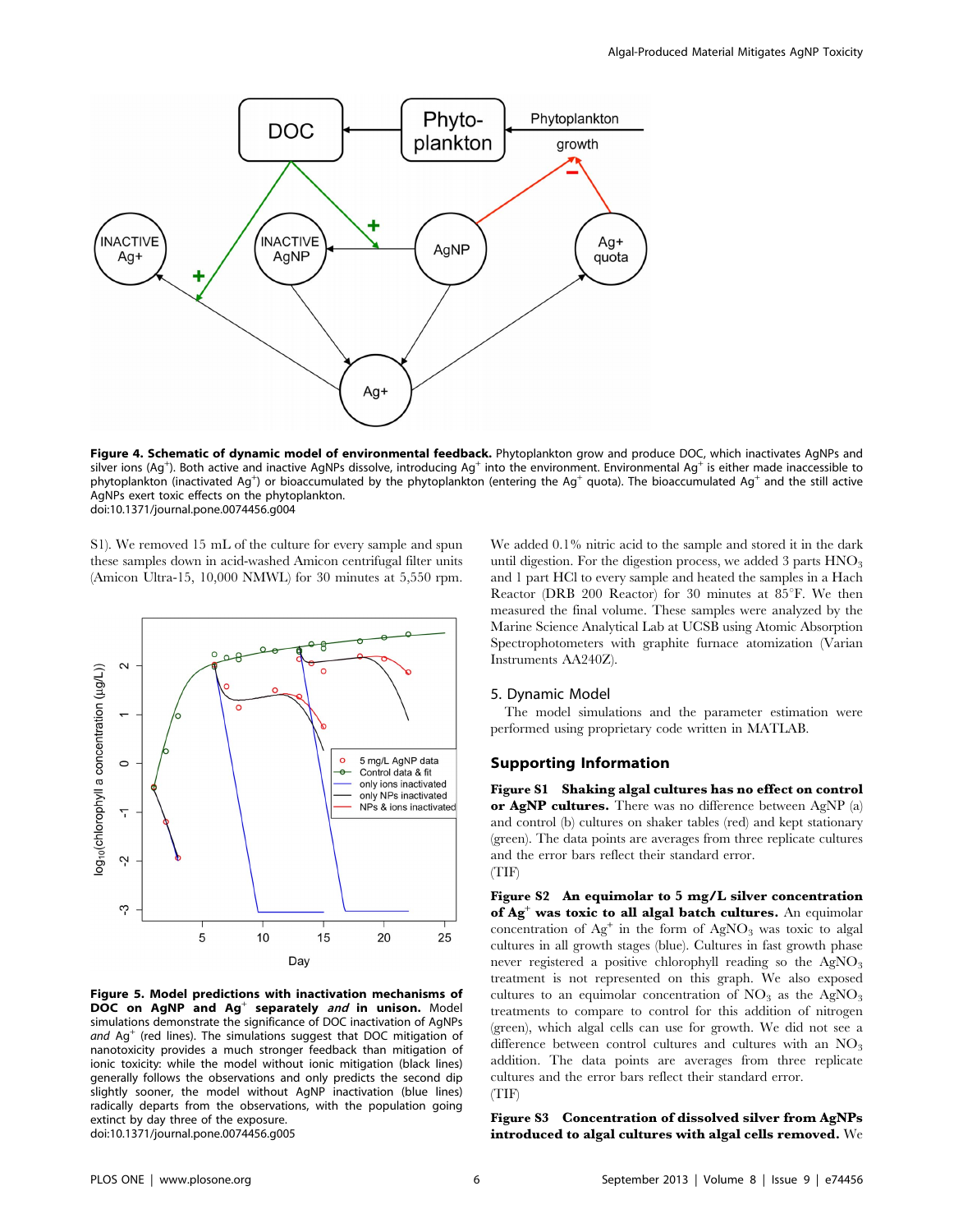

Figure 4. Schematic of dynamic model of environmental feedback. Phytoplankton grow and produce DOC, which inactivates AgNPs and silver ions (Ag<sup>+</sup>). Both active and inactive AgNPs dissolve, introducing Ag<sup>+</sup> into the environment. Environmental Ag<sup>+</sup> is either made inaccessible to phytoplankton (inactivated Ag<sup>+</sup>) or bioaccumulated by the phytoplankton (entering the Ag<sup>+</sup> quota). The bioaccumulated Ag<sup>+</sup> and the still active AgNPs exert toxic effects on the phytoplankton. doi:10.1371/journal.pone.0074456.g004

S1). We removed 15 mL of the culture for every sample and spun these samples down in acid-washed Amicon centrifugal filter units (Amicon Ultra-15, 10,000 NMWL) for 30 minutes at 5,550 rpm.



Figure 5. Model predictions with inactivation mechanisms of DOC on AgNP and Ag<sup>+</sup> separately and in unison. Model simulations demonstrate the significance of DOC inactivation of AgNPs and  $\text{Ag}^+$  (red lines). The simulations suggest that DOC mitigation of nanotoxicity provides a much stronger feedback than mitigation of ionic toxicity: while the model without ionic mitigation (black lines) generally follows the observations and only predicts the second dip slightly sooner, the model without AgNP inactivation (blue lines) radically departs from the observations, with the population going extinct by day three of the exposure. doi:10.1371/journal.pone.0074456.g005

We added 0.1% nitric acid to the sample and stored it in the dark until digestion. For the digestion process, we added 3 parts  $HNO<sub>3</sub>$ and 1 part HCl to every sample and heated the samples in a Hach Reactor (DRB 200 Reactor) for 30 minutes at  $85^{\circ}$ F. We then measured the final volume. These samples were analyzed by the Marine Science Analytical Lab at UCSB using Atomic Absorption Spectrophotometers with graphite furnace atomization (Varian Instruments AA240Z).

### 5. Dynamic Model

The model simulations and the parameter estimation were performed using proprietary code written in MATLAB.

## Supporting Information

Figure S1 Shaking algal cultures has no effect on control or AgNP cultures. There was no difference between AgNP (a) and control (b) cultures on shaker tables (red) and kept stationary (green). The data points are averages from three replicate cultures and the error bars reflect their standard error. (TIF)

Figure S2 An equimolar to 5 mg/L silver concentration of Ag<sup>+</sup> was toxic to all algal batch cultures. An equimolar concentration of  $Ag<sup>+</sup>$  in the form of  $AgNO<sub>3</sub>$  was toxic to algal cultures in all growth stages (blue). Cultures in fast growth phase never registered a positive chlorophyll reading so the  $AgNO<sub>3</sub>$ treatment is not represented on this graph. We also exposed cultures to an equimolar concentration of  $NO<sub>3</sub>$  as the AgNO<sub>3</sub> treatments to compare to control for this addition of nitrogen (green), which algal cells can use for growth. We did not see a difference between control cultures and cultures with an  $NO<sub>3</sub>$ addition. The data points are averages from three replicate cultures and the error bars reflect their standard error. (TIF)

Figure S3 Concentration of dissolved silver from AgNPs introduced to algal cultures with algal cells removed. We